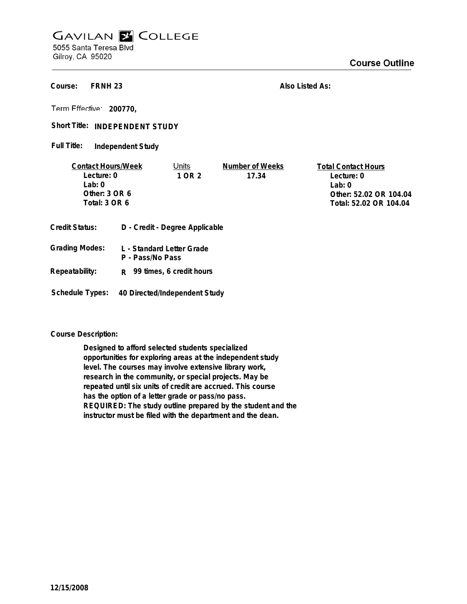## **GAVILAN E COLLEGE** 5055 Santa Teresa Blvd

Gilroy, CA 95020

**FRNH 23 Course:**

**Also Listed As:**

**200770,**

Short Title: INDEPENDENT STUDY

**Independent Study Full Title:**

| <b>Contact Hours/Week</b> |   | Units                          | Number of Weeks | <b>Total Contact Hours</b> |
|---------------------------|---|--------------------------------|-----------------|----------------------------|
| Lecture: 0                |   | 1 OR 2                         | 17.34           | Lecture: 0                 |
| Lab: 0                    |   |                                |                 | Lab: $0$                   |
| Other: $3$ OR $6$         |   |                                |                 | Other: 52.02 OR 104.04     |
| Total: 3 OR 6             |   |                                |                 | Total: 52.02 OR 104.04     |
| Credit Status:            |   | D - Credit - Degree Applicable |                 |                            |
|                           |   |                                |                 |                            |
| $\sim$ $\sim$<br>.        | . |                                |                 |                            |

| Grading Modes: | L - Standard Letter Grade<br>P - Pass/No Pass |
|----------------|-----------------------------------------------|
| Repeatability: | R 99 times, 6 credit hours                    |

**Schedule Types: 40 Directed/Independent Study**

**Course Description:**

**Designed to afford selected students specialized opportunities for exploring areas at the independent study level. The courses may involve extensive library work, research in the community, or special projects. May be repeated until six units of credit are accrued. This course has the option of a letter grade or pass/no pass. REQUIRED: The study outline prepared by the student and the instructor must be filed with the department and the dean.**